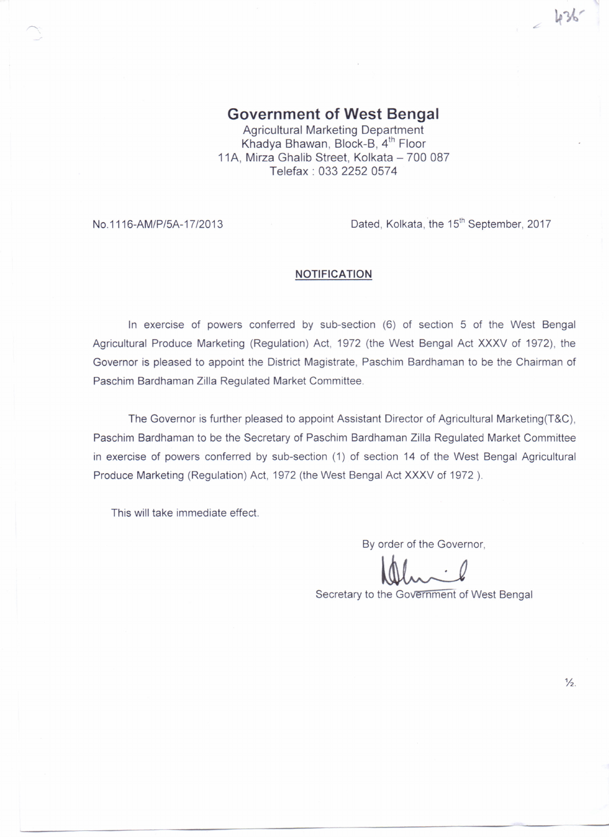**Government of West Bengal** Agricultural Marketing Department Khadya Bhawan, Block-B, 4<sup>th</sup> Floor 11A, Mirza Ghalib Street, Kolkata - 700 087 Telefax: 0332252 0574

No.1116-AM/P/5A-17/2013

Dated, Kolkata, the 15<sup>th</sup> September, 2017

 $-436$ 

## **NOTIFICATION**

**In** exercise of powers conferred by sub-section (6) of section 5 of the West Bengal Agricultural Produce Marketing (Regulation) Act, 1972 (the West Bengal Act XXXV of 1972), the Governor is pleased to appoint the District Magistrate, Paschim Bardhaman to be the Chairman of Paschim Bardhaman Zilla Regulated Market Committee.

The Governor is further pleased to appoint Assistant Director of Agricultural Marketing(T&C), Paschim Bardhaman to be the Secretary of Paschim Bardhaman Zilla Regulated Market Committee in exercise of powers conferred by sub-section (1) of section 14 of the West Bengal Agricultural Produce Marketing (Regulation) Act, 1972 (the West Bengal Act XXXV of 1972 ).

This will take immediate effect.

By order of the Governor,

~

Secretary to the Government of West Bengal